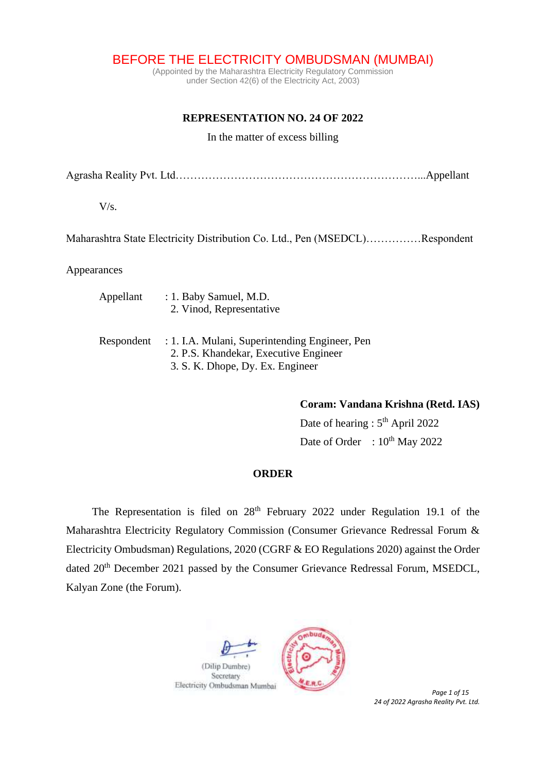BEFORE THE ELECTRICITY OMBUDSMAN (MUMBAI)

(Appointed by the Maharashtra Electricity Regulatory Commission under Section 42(6) of the Electricity Act, 2003)

# **REPRESENTATION NO. 24 OF 2022**

### In the matter of excess billing

Agrasha Reality Pvt. Ltd…………………………………………………………...Appellant

 $V/s$ .

Maharashtra State Electricity Distribution Co. Ltd., Pen (MSEDCL)……………Respondent

Appearances

| Appellant  | $: 1.$ Baby Samuel, M.D.<br>2. Vinod, Representative                                                                        |
|------------|-----------------------------------------------------------------------------------------------------------------------------|
| Respondent | : 1. I.A. Mulani, Superintending Engineer, Pen<br>2. P.S. Khandekar, Executive Engineer<br>3. S. K. Dhope, Dy. Ex. Engineer |

**Coram: Vandana Krishna (Retd. IAS)**

Date of hearing : 5<sup>th</sup> April 2022 Date of Order :  $10^{th}$  May 2022

### **ORDER**

The Representation is filed on 28<sup>th</sup> February 2022 under Regulation 19.1 of the Maharashtra Electricity Regulatory Commission (Consumer Grievance Redressal Forum & Electricity Ombudsman) Regulations, 2020 (CGRF & EO Regulations 2020) against the Order dated 20<sup>th</sup> December 2021 passed by the Consumer Grievance Redressal Forum, MSEDCL, Kalyan Zone (the Forum).



*24 of 2022 Agrasha Reality Pvt. Ltd.*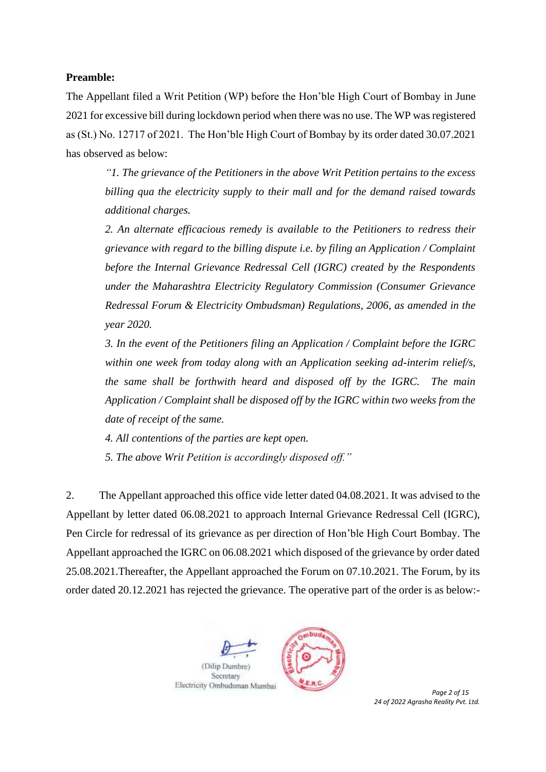## **Preamble:**

The Appellant filed a Writ Petition (WP) before the Hon'ble High Court of Bombay in June 2021 for excessive bill during lockdown period when there was no use. The WP was registered as (St.) No. 12717 of 2021. The Hon'ble High Court of Bombay by its order dated 30.07.2021 has observed as below:

*"1. The grievance of the Petitioners in the above Writ Petition pertains to the excess billing qua the electricity supply to their mall and for the demand raised towards additional charges.* 

*2. An alternate efficacious remedy is available to the Petitioners to redress their grievance with regard to the billing dispute i.e. by filing an Application / Complaint before the Internal Grievance Redressal Cell (IGRC) created by the Respondents under the Maharashtra Electricity Regulatory Commission (Consumer Grievance Redressal Forum & Electricity Ombudsman) Regulations, 2006, as amended in the year 2020.* 

*3. In the event of the Petitioners filing an Application / Complaint before the IGRC within one week from today along with an Application seeking ad-interim relief/s, the same shall be forthwith heard and disposed off by the IGRC. The main Application / Complaint shall be disposed off by the IGRC within two weeks from the date of receipt of the same.* 

*4. All contentions of the parties are kept open.* 

*5. The above Writ Petition is accordingly disposed off."*

2. The Appellant approached this office vide letter dated 04.08.2021. It was advised to the Appellant by letter dated 06.08.2021 to approach Internal Grievance Redressal Cell (IGRC), Pen Circle for redressal of its grievance as per direction of Hon'ble High Court Bombay. The Appellant approached the IGRC on 06.08.2021 which disposed of the grievance by order dated 25.08.2021.Thereafter, the Appellant approached the Forum on 07.10.2021. The Forum, by its order dated 20.12.2021 has rejected the grievance. The operative part of the order is as below:-



*24 of 2022 Agrasha Reality Pvt. Ltd.*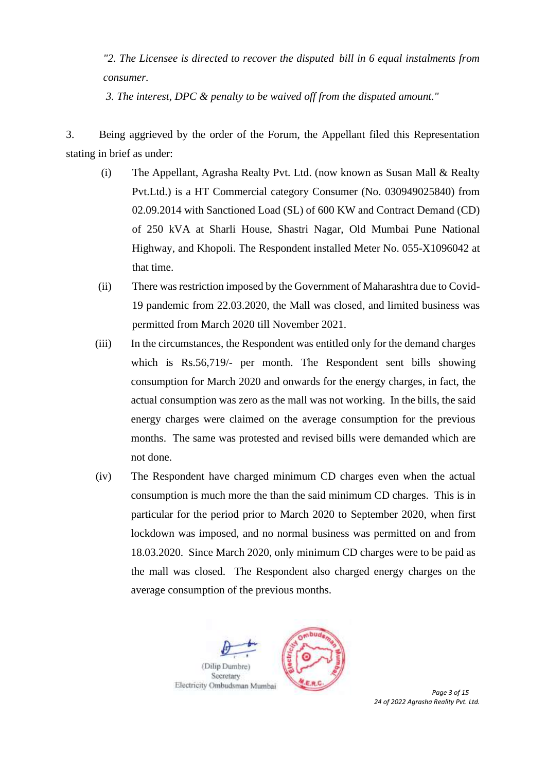*"2. The Licensee is directed to recover the disputed bill in 6 equal instalments from consumer.* 

*3. The interest, DPC & penalty to be waived off from the disputed amount."*

3. Being aggrieved by the order of the Forum, the Appellant filed this Representation stating in brief as under:

- (i) The Appellant, Agrasha Realty Pvt. Ltd. (now known as Susan Mall & Realty Pvt.Ltd.) is a HT Commercial category Consumer (No. 030949025840) from 02.09.2014 with Sanctioned Load (SL) of 600 KW and Contract Demand (CD) of 250 kVA at Sharli House, Shastri Nagar, Old Mumbai Pune National Highway, and Khopoli. The Respondent installed Meter No. 055-X1096042 at that time.
- (ii) There was restriction imposed by the Government of Maharashtra due to Covid-19 pandemic from 22.03.2020, the Mall was closed, and limited business was permitted from March 2020 till November 2021.
- (iii) In the circumstances, the Respondent was entitled only for the demand charges which is Rs.56,719/- per month. The Respondent sent bills showing consumption for March 2020 and onwards for the energy charges, in fact, the actual consumption was zero as the mall was not working. In the bills, the said energy charges were claimed on the average consumption for the previous months. The same was protested and revised bills were demanded which are not done.
- (iv) The Respondent have charged minimum CD charges even when the actual consumption is much more the than the said minimum CD charges. This is in particular for the period prior to March 2020 to September 2020, when first lockdown was imposed, and no normal business was permitted on and from 18.03.2020. Since March 2020, only minimum CD charges were to be paid as the mall was closed. The Respondent also charged energy charges on the average consumption of the previous months.



*24 of 2022 Agrasha Reality Pvt. Ltd.*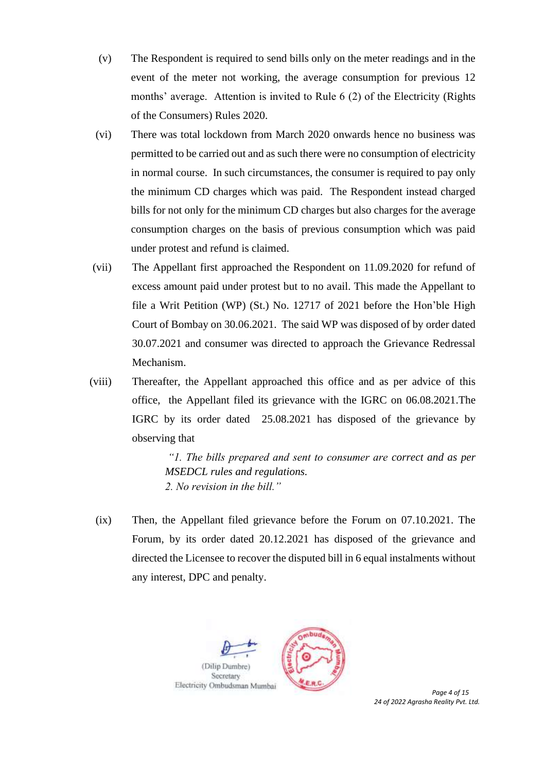- (v) The Respondent is required to send bills only on the meter readings and in the event of the meter not working, the average consumption for previous 12 months' average. Attention is invited to Rule 6 (2) of the Electricity (Rights of the Consumers) Rules 2020.
- (vi) There was total lockdown from March 2020 onwards hence no business was permitted to be carried out and as such there were no consumption of electricity in normal course. In such circumstances, the consumer is required to pay only the minimum CD charges which was paid. The Respondent instead charged bills for not only for the minimum CD charges but also charges for the average consumption charges on the basis of previous consumption which was paid under protest and refund is claimed.
- (vii) The Appellant first approached the Respondent on 11.09.2020 for refund of excess amount paid under protest but to no avail. This made the Appellant to file a Writ Petition (WP) (St.) No. 12717 of 2021 before the Hon'ble High Court of Bombay on 30.06.2021. The said WP was disposed of by order dated 30.07.2021 and consumer was directed to approach the Grievance Redressal Mechanism.
- (viii) Thereafter, the Appellant approached this office and as per advice of this office, the Appellant filed its grievance with the IGRC on 06.08.2021.The IGRC by its order dated 25.08.2021 has disposed of the grievance by observing that

*"1. The bills prepared and sent to consumer are correct and as per MSEDCL rules and regulations. 2. No revision in the bill."*

(ix) Then, the Appellant filed grievance before the Forum on 07.10.2021. The Forum, by its order dated 20.12.2021 has disposed of the grievance and directed the Licensee to recover the disputed bill in 6 equal instalments without any interest, DPC and penalty.



*24 of 2022 Agrasha Reality Pvt. Ltd.*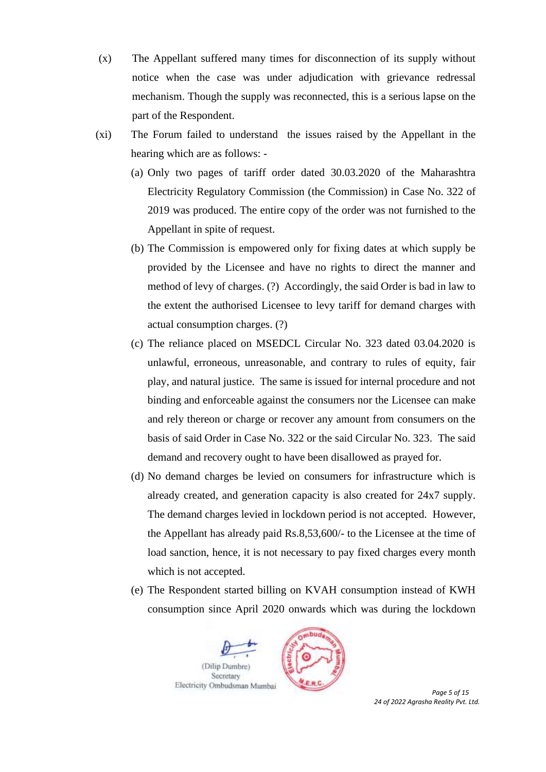- (x) The Appellant suffered many times for disconnection of its supply without notice when the case was under adjudication with grievance redressal mechanism. Though the supply was reconnected, this is a serious lapse on the part of the Respondent.
- (xi) The Forum failed to understand the issues raised by the Appellant in the hearing which are as follows: -
	- (a) Only two pages of tariff order dated 30.03.2020 of the Maharashtra Electricity Regulatory Commission (the Commission) in Case No. 322 of 2019 was produced. The entire copy of the order was not furnished to the Appellant in spite of request.
	- (b) The Commission is empowered only for fixing dates at which supply be provided by the Licensee and have no rights to direct the manner and method of levy of charges. (?) Accordingly, the said Order is bad in law to the extent the authorised Licensee to levy tariff for demand charges with actual consumption charges. (?)
	- (c) The reliance placed on MSEDCL Circular No. 323 dated 03.04.2020 is unlawful, erroneous, unreasonable, and contrary to rules of equity, fair play, and natural justice. The same is issued for internal procedure and not binding and enforceable against the consumers nor the Licensee can make and rely thereon or charge or recover any amount from consumers on the basis of said Order in Case No. 322 or the said Circular No. 323. The said demand and recovery ought to have been disallowed as prayed for.
	- (d) No demand charges be levied on consumers for infrastructure which is already created, and generation capacity is also created for 24x7 supply. The demand charges levied in lockdown period is not accepted. However, the Appellant has already paid Rs.8,53,600/- to the Licensee at the time of load sanction, hence, it is not necessary to pay fixed charges every month which is not accepted.
	- (e) The Respondent started billing on KVAH consumption instead of KWH consumption since April 2020 onwards which was during the lockdown



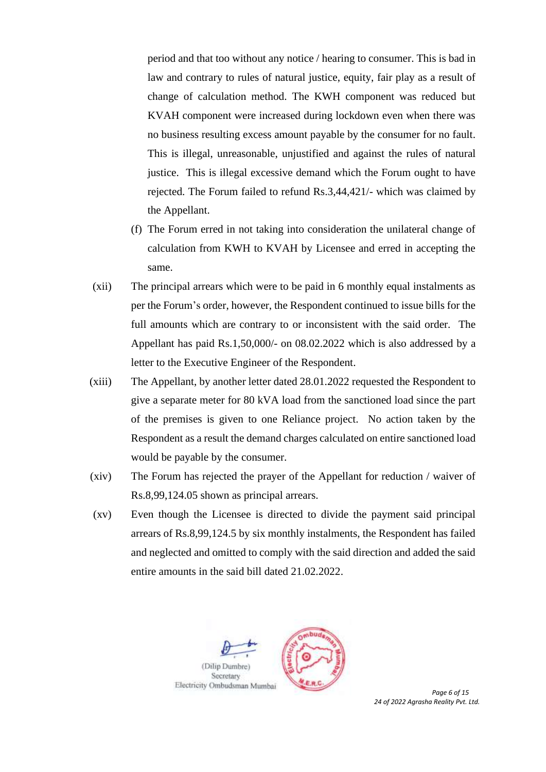period and that too without any notice / hearing to consumer. This is bad in law and contrary to rules of natural justice, equity, fair play as a result of change of calculation method. The KWH component was reduced but KVAH component were increased during lockdown even when there was no business resulting excess amount payable by the consumer for no fault. This is illegal, unreasonable, unjustified and against the rules of natural justice. This is illegal excessive demand which the Forum ought to have rejected. The Forum failed to refund Rs.3,44,421/- which was claimed by the Appellant.

- (f) The Forum erred in not taking into consideration the unilateral change of calculation from KWH to KVAH by Licensee and erred in accepting the same.
- (xii) The principal arrears which were to be paid in 6 monthly equal instalments as per the Forum's order, however, the Respondent continued to issue bills for the full amounts which are contrary to or inconsistent with the said order. The Appellant has paid Rs.1,50,000/- on 08.02.2022 which is also addressed by a letter to the Executive Engineer of the Respondent.
- (xiii) The Appellant, by another letter dated 28.01.2022 requested the Respondent to give a separate meter for 80 kVA load from the sanctioned load since the part of the premises is given to one Reliance project. No action taken by the Respondent as a result the demand charges calculated on entire sanctioned load would be payable by the consumer.
- (xiv) The Forum has rejected the prayer of the Appellant for reduction / waiver of Rs.8,99,124.05 shown as principal arrears.
- (xv) Even though the Licensee is directed to divide the payment said principal arrears of Rs.8,99,124.5 by six monthly instalments, the Respondent has failed and neglected and omitted to comply with the said direction and added the said entire amounts in the said bill dated 21.02.2022.



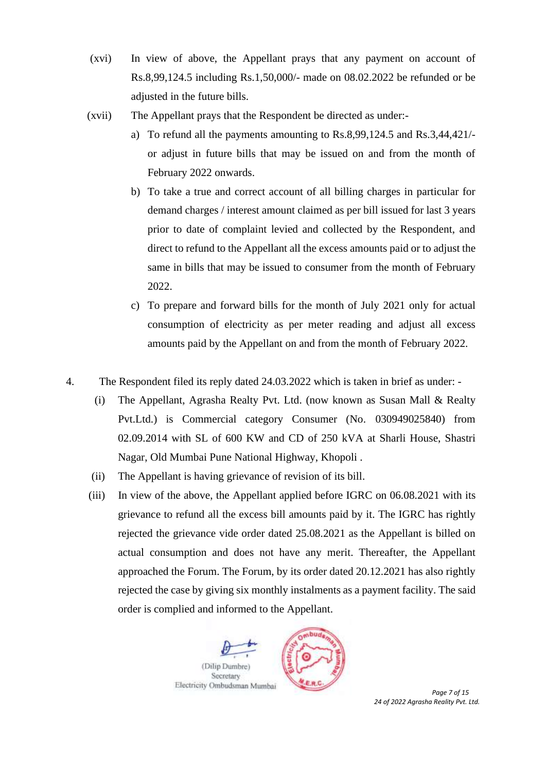- (xvi) In view of above, the Appellant prays that any payment on account of Rs.8,99,124.5 including Rs.1,50,000/- made on 08.02.2022 be refunded or be adjusted in the future bills.
- (xvii) The Appellant prays that the Respondent be directed as under:
	- a) To refund all the payments amounting to Rs.8,99,124.5 and Rs.3,44,421/ or adjust in future bills that may be issued on and from the month of February 2022 onwards.
	- b) To take a true and correct account of all billing charges in particular for demand charges / interest amount claimed as per bill issued for last 3 years prior to date of complaint levied and collected by the Respondent, and direct to refund to the Appellant all the excess amounts paid or to adjust the same in bills that may be issued to consumer from the month of February 2022.
	- c) To prepare and forward bills for the month of July 2021 only for actual consumption of electricity as per meter reading and adjust all excess amounts paid by the Appellant on and from the month of February 2022.
- 4. The Respondent filed its reply dated 24.03.2022 which is taken in brief as under:
	- (i) The Appellant, Agrasha Realty Pvt. Ltd. (now known as Susan Mall & Realty Pvt.Ltd.) is Commercial category Consumer (No. 030949025840) from 02.09.2014 with SL of 600 KW and CD of 250 kVA at Sharli House, Shastri Nagar, Old Mumbai Pune National Highway, Khopoli .
	- (ii) The Appellant is having grievance of revision of its bill.
	- (iii) In view of the above, the Appellant applied before IGRC on 06.08.2021 with its grievance to refund all the excess bill amounts paid by it. The IGRC has rightly rejected the grievance vide order dated 25.08.2021 as the Appellant is billed on actual consumption and does not have any merit. Thereafter, the Appellant approached the Forum. The Forum, by its order dated 20.12.2021 has also rightly rejected the case by giving six monthly instalments as a payment facility. The said order is complied and informed to the Appellant.



*24 of 2022 Agrasha Reality Pvt. Ltd.*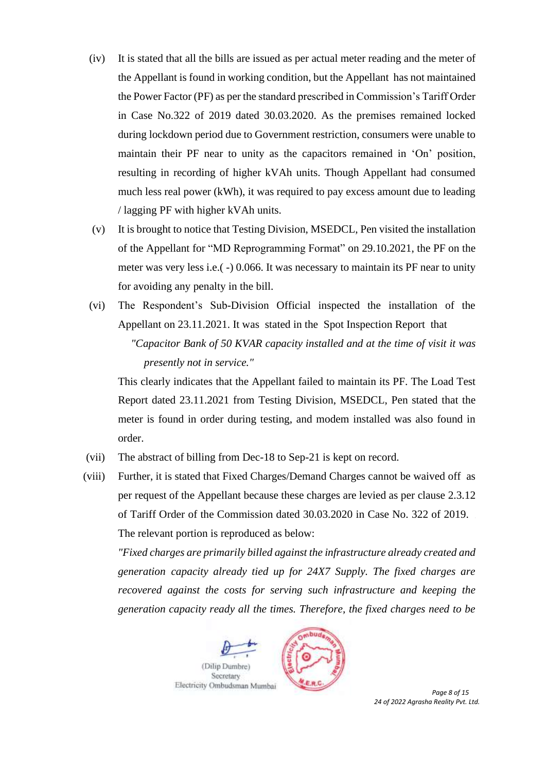- (iv) It is stated that all the bills are issued as per actual meter reading and the meter of the Appellant is found in working condition, but the Appellant has not maintained the Power Factor (PF) as per the standard prescribed in Commission's Tariff Order in Case No.322 of 2019 dated 30.03.2020. As the premises remained locked during lockdown period due to Government restriction, consumers were unable to maintain their PF near to unity as the capacitors remained in 'On' position, resulting in recording of higher kVAh units. Though Appellant had consumed much less real power (kWh), it was required to pay excess amount due to leading / lagging PF with higher kVAh units.
- (v) It is brought to notice that Testing Division, MSEDCL, Pen visited the installation of the Appellant for "MD Reprogramming Format" on 29.10.2021, the PF on the meter was very less i.e.( -) 0.066. It was necessary to maintain its PF near to unity for avoiding any penalty in the bill.
- (vi) The Respondent's Sub-Division Official inspected the installation of the Appellant on 23.11.2021. It was stated in the Spot Inspection Report that *"Capacitor Bank of 50 KVAR capacity installed and at the time of visit it was presently not in service."*

This clearly indicates that the Appellant failed to maintain its PF. The Load Test Report dated 23.11.2021 from Testing Division, MSEDCL, Pen stated that the meter is found in order during testing, and modem installed was also found in order.

- (vii) The abstract of billing from Dec-18 to Sep-21 is kept on record.
- (viii) Further, it is stated that Fixed Charges/Demand Charges cannot be waived off as per request of the Appellant because these charges are levied as per clause 2.3.12 of Tariff Order of the Commission dated 30.03.2020 in Case No. 322 of 2019. The relevant portion is reproduced as below:

*"Fixed charges are primarily billed against the infrastructure already created and generation capacity already tied up for 24X7 Supply. The fixed charges are recovered against the costs for serving such infrastructure and keeping the generation capacity ready all the times. Therefore, the fixed charges need to be* 





 *Page 8 of 15 24 of 2022 Agrasha Reality Pvt. Ltd.*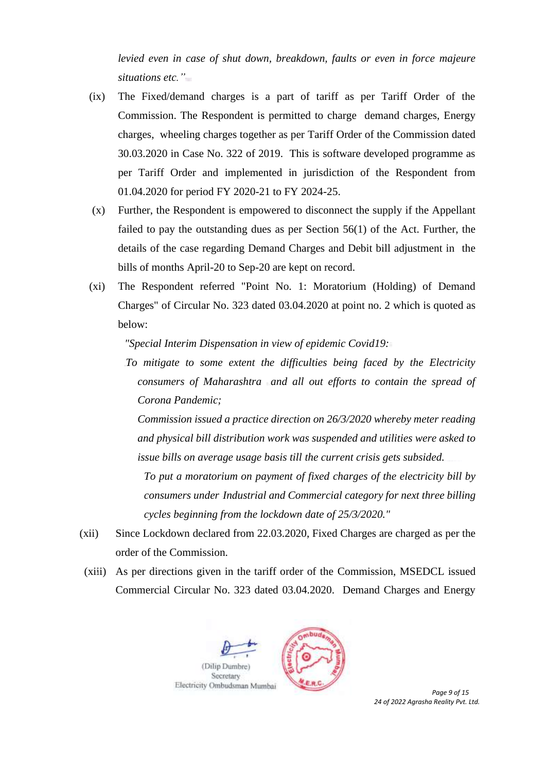*levied even in case of shut down, breakdown, faults or even in force majeure situations etc."*

- (ix) The Fixed/demand charges is a part of tariff as per Tariff Order of the Commission. The Respondent is permitted to charge demand charges, Energy charges, wheeling charges together as per Tariff Order of the Commission dated 30.03.2020 in Case No. 322 of 2019. This is software developed programme as per Tariff Order and implemented in jurisdiction of the Respondent from 01.04.2020 for period FY 2020-21 to FY 2024-25.
- (x) Further, the Respondent is empowered to disconnect the supply if the Appellant failed to pay the outstanding dues as per Section 56(1) of the Act. Further, the details of the case regarding Demand Charges and Debit bill adjustment in the bills of months April-20 to Sep-20 are kept on record.
- (xi) The Respondent referred "Point No. 1: Moratorium (Holding) of Demand Charges" of Circular No. 323 dated 03.04.2020 at point no. 2 which is quoted as below:

*"Special Interim Dispensation in view of epidemic Covid19:*

*To mitigate to some extent the difficulties being faced by the Electricity consumers of Maharashtra and all out efforts to contain the spread of Corona Pandemic;*

*Commission issued a practice direction on 26/3/2020 whereby meter reading and physical bill distribution work was suspended and utilities were asked to issue bills on average usage basis till the current crisis gets subsided.*

*To put a moratorium on payment of fixed charges of the electricity bill by consumers under Industrial and Commercial category for next three billing cycles beginning from the lockdown date of 25/3/2020."*

- (xii) Since Lockdown declared from 22.03.2020, Fixed Charges are charged as per the order of the Commission.
- (xiii) As per directions given in the tariff order of the Commission, MSEDCL issued Commercial Circular No. 323 dated 03.04.2020. Demand Charges and Energy



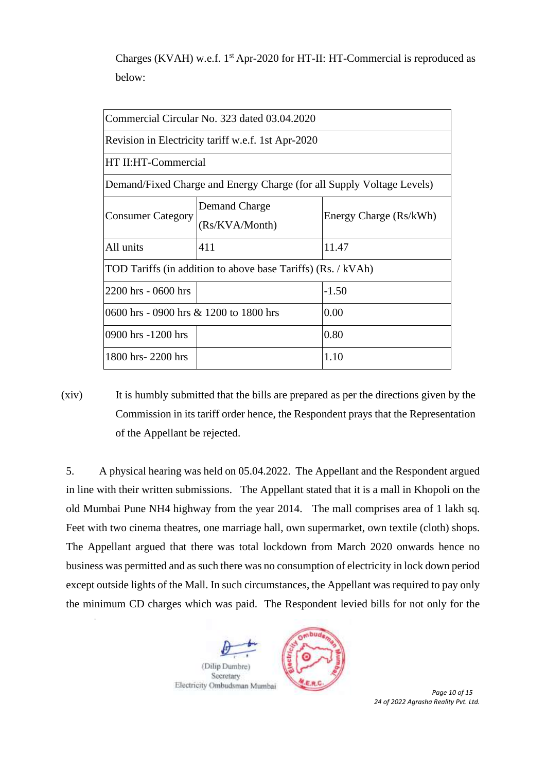Charges (KVAH) w.e.f.  $1<sup>st</sup>$  Apr-2020 for HT-II: HT-Commercial is reproduced as below:

| Commercial Circular No. 323 dated 03.04.2020                          |                                 |                        |  |  |  |  |  |  |
|-----------------------------------------------------------------------|---------------------------------|------------------------|--|--|--|--|--|--|
| Revision in Electricity tariff w.e.f. 1st Apr-2020                    |                                 |                        |  |  |  |  |  |  |
| HT II:HT-Commercial                                                   |                                 |                        |  |  |  |  |  |  |
| Demand/Fixed Charge and Energy Charge (for all Supply Voltage Levels) |                                 |                        |  |  |  |  |  |  |
| <b>Consumer Category</b>                                              | Demand Charge<br>(Rs/KVA/Month) | Energy Charge (Rs/kWh) |  |  |  |  |  |  |
| All units                                                             | 411                             | 11.47                  |  |  |  |  |  |  |
| TOD Tariffs (in addition to above base Tariffs) (Rs. / kVAh)          |                                 |                        |  |  |  |  |  |  |
| 2200 hrs - 0600 hrs                                                   |                                 | $-1.50$                |  |  |  |  |  |  |
| 0600 hrs - 0900 hrs & 1200 to 1800 hrs                                | 0.00                            |                        |  |  |  |  |  |  |
| 0900 hrs -1200 hrs                                                    |                                 | 0.80                   |  |  |  |  |  |  |
| 1800 hrs-2200 hrs                                                     |                                 | 1.10                   |  |  |  |  |  |  |

(xiv) It is humbly submitted that the bills are prepared as per the directions given by the Commission in its tariff order hence, the Respondent prays that the Representation of the Appellant be rejected.

5. A physical hearing was held on 05.04.2022. The Appellant and the Respondent argued in line with their written submissions. The Appellant stated that it is a mall in Khopoli on the old Mumbai Pune NH4 highway from the year 2014. The mall comprises area of 1 lakh sq. Feet with two cinema theatres, one marriage hall, own supermarket, own textile (cloth) shops. The Appellant argued that there was total lockdown from March 2020 onwards hence no business was permitted and as such there was no consumption of electricity in lock down period except outside lights of the Mall. In such circumstances, the Appellant was required to pay only the minimum CD charges which was paid. The Respondent levied bills for not only for the





 *Page 10 of 15 24 of 2022 Agrasha Reality Pvt. Ltd.*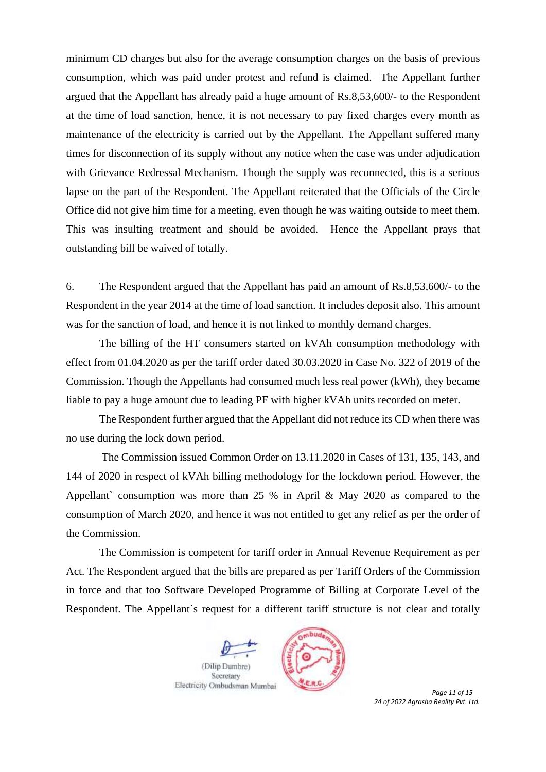minimum CD charges but also for the average consumption charges on the basis of previous consumption, which was paid under protest and refund is claimed. The Appellant further argued that the Appellant has already paid a huge amount of Rs.8,53,600/- to the Respondent at the time of load sanction, hence, it is not necessary to pay fixed charges every month as maintenance of the electricity is carried out by the Appellant. The Appellant suffered many times for disconnection of its supply without any notice when the case was under adjudication with Grievance Redressal Mechanism. Though the supply was reconnected, this is a serious lapse on the part of the Respondent. The Appellant reiterated that the Officials of the Circle Office did not give him time for a meeting, even though he was waiting outside to meet them. This was insulting treatment and should be avoided. Hence the Appellant prays that outstanding bill be waived of totally.

6. The Respondent argued that the Appellant has paid an amount of Rs.8,53,600/- to the Respondent in the year 2014 at the time of load sanction. It includes deposit also. This amount was for the sanction of load, and hence it is not linked to monthly demand charges.

The billing of the HT consumers started on kVAh consumption methodology with effect from 01.04.2020 as per the tariff order dated 30.03.2020 in Case No. 322 of 2019 of the Commission. Though the Appellants had consumed much less real power (kWh), they became liable to pay a huge amount due to leading PF with higher kVAh units recorded on meter.

The Respondent further argued that the Appellant did not reduce its CD when there was no use during the lock down period.

The Commission issued Common Order on 13.11.2020 in Cases of 131, 135, 143, and 144 of 2020 in respect of kVAh billing methodology for the lockdown period. However, the Appellant` consumption was more than  $25 %$  in April & May 2020 as compared to the consumption of March 2020, and hence it was not entitled to get any relief as per the order of the Commission.

The Commission is competent for tariff order in Annual Revenue Requirement as per Act. The Respondent argued that the bills are prepared as per Tariff Orders of the Commission in force and that too Software Developed Programme of Billing at Corporate Level of the Respondent. The Appellant`s request for a different tariff structure is not clear and totally





 *Page 11 of 15 24 of 2022 Agrasha Reality Pvt. Ltd.*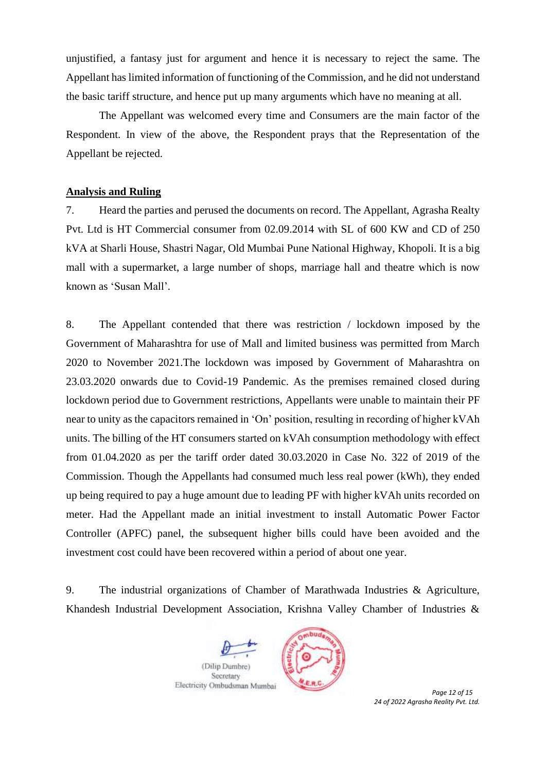unjustified, a fantasy just for argument and hence it is necessary to reject the same. The Appellant has limited information of functioning of the Commission, and he did not understand the basic tariff structure, and hence put up many arguments which have no meaning at all.

The Appellant was welcomed every time and Consumers are the main factor of the Respondent. In view of the above, the Respondent prays that the Representation of the Appellant be rejected.

#### **Analysis and Ruling**

7. Heard the parties and perused the documents on record. The Appellant, Agrasha Realty Pvt. Ltd is HT Commercial consumer from 02.09.2014 with SL of 600 KW and CD of 250 kVA at Sharli House, Shastri Nagar, Old Mumbai Pune National Highway, Khopoli. It is a big mall with a supermarket, a large number of shops, marriage hall and theatre which is now known as 'Susan Mall'.

8. The Appellant contended that there was restriction / lockdown imposed by the Government of Maharashtra for use of Mall and limited business was permitted from March 2020 to November 2021.The lockdown was imposed by Government of Maharashtra on 23.03.2020 onwards due to Covid-19 Pandemic. As the premises remained closed during lockdown period due to Government restrictions, Appellants were unable to maintain their PF near to unity as the capacitors remained in 'On' position, resulting in recording of higher kVAh units. The billing of the HT consumers started on kVAh consumption methodology with effect from 01.04.2020 as per the tariff order dated 30.03.2020 in Case No. 322 of 2019 of the Commission. Though the Appellants had consumed much less real power (kWh), they ended up being required to pay a huge amount due to leading PF with higher kVAh units recorded on meter. Had the Appellant made an initial investment to install Automatic Power Factor Controller (APFC) panel, the subsequent higher bills could have been avoided and the investment cost could have been recovered within a period of about one year.

9. The industrial organizations of Chamber of Marathwada Industries & Agriculture, Khandesh Industrial Development Association, Krishna Valley Chamber of Industries &





 *Page 12 of 15 24 of 2022 Agrasha Reality Pvt. Ltd.*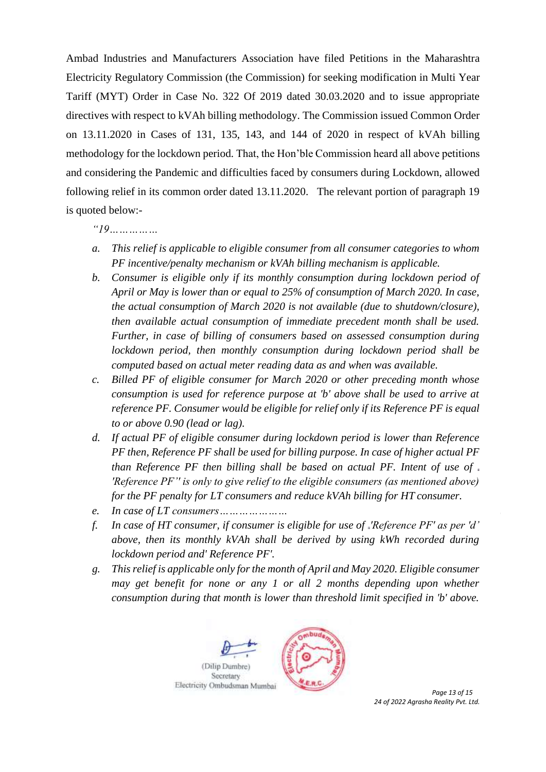Ambad Industries and Manufacturers Association have filed Petitions in the Maharashtra Electricity Regulatory Commission (the Commission) for seeking modification in Multi Year Tariff (MYT) Order in Case No. 322 Of 2019 dated 30.03.2020 and to issue appropriate directives with respect to kVAh billing methodology. The Commission issued Common Order on 13.11.2020 in Cases of 131, 135, 143, and 144 of 2020 in respect of kVAh billing methodology for the lockdown period. That, the Hon'ble Commission heard all above petitions and considering the Pandemic and difficulties faced by consumers during Lockdown, allowed following relief in its common order dated 13.11.2020. The relevant portion of paragraph 19 is quoted below:-

*"19……………*

- *a. This relief is applicable to eligible consumer from all consumer categories to whom PF incentive/penalty mechanism or kVAh billing mechanism is applicable.*
- *b. Consumer is eligible only if its monthly consumption during lockdown period of April or May is lower than or equal to 25% of consumption of March 2020. In case, the actual consumption of March 2020 is not available (due to shutdown/closure), then available actual consumption of immediate precedent month shall be used. Further, in case of billing of consumers based on assessed consumption during lockdown period, then monthly consumption during lockdown period shall be computed based on actual meter reading data as and when was available.*
- *c. Billed PF of eligible consumer for March 2020 or other preceding month whose consumption is used for reference purpose at 'b' above shall be used to arrive at reference PF. Consumer would be eligible for relief only if its Reference PF is equal to or above 0.90 (lead or lag).*
- *d. If actual PF of eligible consumer during lockdown period is lower than Reference PF then, Reference PF shall be used for billing purpose. In case of higher actual PF than Reference PF then billing shall be based on actual PF. Intent of use of 'Reference PF'' is only to give relief to the eligible consumers (as mentioned above) for the PF penalty for LT consumers and reduce kVAh billing for HT consumer.*
- *e. In case of LT consumers…………………*
- *f. In case of HT consumer, if consumer is eligible for use of 'Reference PF' as per 'd' above, then its monthly kVAh shall be derived by using kWh recorded during lockdown period and' Reference PF'.*
- *g. This relief is applicable only for the month of April and May 2020. Eligible consumer may get benefit for none or any 1 or all 2 months depending upon whether consumption during that month is lower than threshold limit specified in 'b' above.*



*24 of 2022 Agrasha Reality Pvt. Ltd.*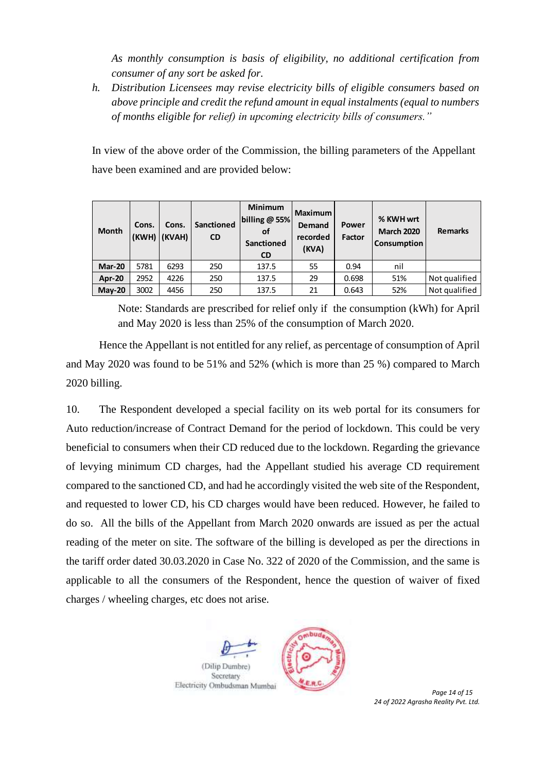*As monthly consumption is basis of eligibility, no additional certification from consumer of any sort be asked for.*

*h. Distribution Licensees may revise electricity bills of eligible consumers based on above principle and credit the refund amount in equal instalments (equal to numbers of months eligible for relief) in upcoming electricity bills of consumers."*

In view of the above order of the Commission, the billing parameters of the Appellant have been examined and are provided below:

| <b>Month</b>  | Cons. | Cons.<br>(KWH) (KVAH) | Sanctioned<br><b>CD</b> | <b>Minimum</b><br>billing $@$ 55%<br>οf<br><b>Sanctioned</b><br><b>CD</b> | <b>Maximum</b><br>Demand<br>recorded<br>(KVA) | <b>Power</b><br>Factor | % KWH wrt<br><b>March 2020</b><br><b>Consumption</b> | <b>Remarks</b> |
|---------------|-------|-----------------------|-------------------------|---------------------------------------------------------------------------|-----------------------------------------------|------------------------|------------------------------------------------------|----------------|
| <b>Mar-20</b> | 5781  | 6293                  | 250                     | 137.5                                                                     | 55                                            | 0.94                   | nil                                                  |                |
| <b>Apr-20</b> | 2952  | 4226                  | 250                     | 137.5                                                                     | 29                                            | 0.698                  | 51%                                                  | Not qualified  |
| $Mav-20$      | 3002  | 4456                  | 250                     | 137.5                                                                     | 21                                            | 0.643                  | 52%                                                  | Not qualified  |

Note: Standards are prescribed for relief only if the consumption (kWh) for April and May 2020 is less than 25% of the consumption of March 2020.

Hence the Appellant is not entitled for any relief, as percentage of consumption of April and May 2020 was found to be 51% and 52% (which is more than 25 %) compared to March 2020 billing.

10. The Respondent developed a special facility on its web portal for its consumers for Auto reduction/increase of Contract Demand for the period of lockdown. This could be very beneficial to consumers when their CD reduced due to the lockdown. Regarding the grievance of levying minimum CD charges, had the Appellant studied his average CD requirement compared to the sanctioned CD, and had he accordingly visited the web site of the Respondent, and requested to lower CD, his CD charges would have been reduced. However, he failed to do so. All the bills of the Appellant from March 2020 onwards are issued as per the actual reading of the meter on site. The software of the billing is developed as per the directions in the tariff order dated 30.03.2020 in Case No. 322 of 2020 of the Commission, and the same is applicable to all the consumers of the Respondent, hence the question of waiver of fixed charges / wheeling charges, etc does not arise.



*24 of 2022 Agrasha Reality Pvt. Ltd.*